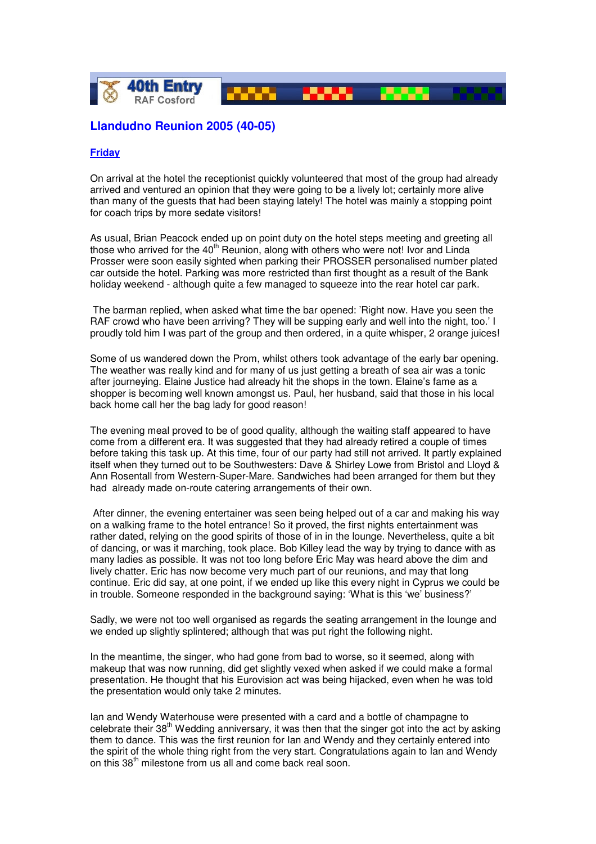

# **Llandudno Reunion 2005 (40-05)**

## **Friday**

On arrival at the hotel the receptionist quickly volunteered that most of the group had already arrived and ventured an opinion that they were going to be a lively lot; certainly more alive than many of the guests that had been staying lately! The hotel was mainly a stopping point for coach trips by more sedate visitors!

As usual, Brian Peacock ended up on point duty on the hotel steps meeting and greeting all those who arrived for the 40<sup>th</sup> Reunion, along with others who were not! Ivor and Linda Prosser were soon easily sighted when parking their PROSSER personalised number plated car outside the hotel. Parking was more restricted than first thought as a result of the Bank holiday weekend - although quite a few managed to squeeze into the rear hotel car park.

 The barman replied, when asked what time the bar opened: 'Right now. Have you seen the RAF crowd who have been arriving? They will be supping early and well into the night, too.' I proudly told him I was part of the group and then ordered, in a quite whisper, 2 orange juices!

Some of us wandered down the Prom, whilst others took advantage of the early bar opening. The weather was really kind and for many of us just getting a breath of sea air was a tonic after journeying. Elaine Justice had already hit the shops in the town. Elaine's fame as a shopper is becoming well known amongst us. Paul, her husband, said that those in his local back home call her the bag lady for good reason!

The evening meal proved to be of good quality, although the waiting staff appeared to have come from a different era. It was suggested that they had already retired a couple of times before taking this task up. At this time, four of our party had still not arrived. It partly explained itself when they turned out to be Southwesters: Dave & Shirley Lowe from Bristol and Lloyd & Ann Rosentall from Western-Super-Mare. Sandwiches had been arranged for them but they had already made on-route catering arrangements of their own.

 After dinner, the evening entertainer was seen being helped out of a car and making his way on a walking frame to the hotel entrance! So it proved, the first nights entertainment was rather dated, relying on the good spirits of those of in in the lounge. Nevertheless, quite a bit of dancing, or was it marching, took place. Bob Killey lead the way by trying to dance with as many ladies as possible. It was not too long before Eric May was heard above the dim and lively chatter. Eric has now become very much part of our reunions, and may that long continue. Eric did say, at one point, if we ended up like this every night in Cyprus we could be in trouble. Someone responded in the background saying: 'What is this 'we' business?'

Sadly, we were not too well organised as regards the seating arrangement in the lounge and we ended up slightly splintered; although that was put right the following night.

In the meantime, the singer, who had gone from bad to worse, so it seemed, along with makeup that was now running, did get slightly vexed when asked if we could make a formal presentation. He thought that his Eurovision act was being hijacked, even when he was told the presentation would only take 2 minutes.

Ian and Wendy Waterhouse were presented with a card and a bottle of champagne to celebrate their  $38<sup>th</sup>$  Wedding anniversary, it was then that the singer got into the act by asking them to dance. This was the first reunion for Ian and Wendy and they certainly entered into the spirit of the whole thing right from the very start. Congratulations again to Ian and Wendy on this 38th milestone from us all and come back real soon.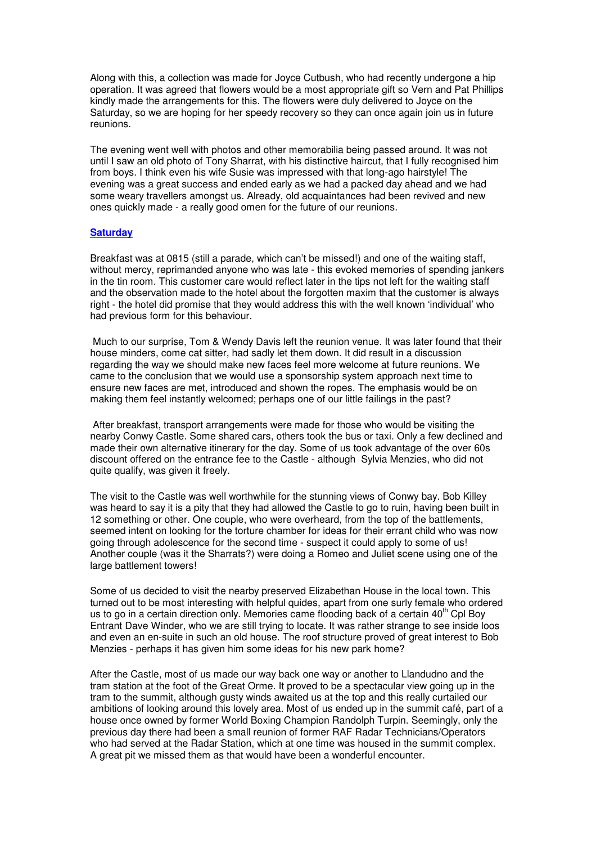Along with this, a collection was made for Joyce Cutbush, who had recently undergone a hip operation. It was agreed that flowers would be a most appropriate gift so Vern and Pat Phillips kindly made the arrangements for this. The flowers were duly delivered to Joyce on the Saturday, so we are hoping for her speedy recovery so they can once again join us in future reunions.

The evening went well with photos and other memorabilia being passed around. It was not until I saw an old photo of Tony Sharrat, with his distinctive haircut, that I fully recognised him from boys. I think even his wife Susie was impressed with that long-ago hairstyle! The evening was a great success and ended early as we had a packed day ahead and we had some weary travellers amongst us. Already, old acquaintances had been revived and new ones quickly made - a really good omen for the future of our reunions.

#### **Saturday**

Breakfast was at 0815 (still a parade, which can't be missed!) and one of the waiting staff, without mercy, reprimanded anyone who was late - this evoked memories of spending jankers in the tin room. This customer care would reflect later in the tips not left for the waiting staff and the observation made to the hotel about the forgotten maxim that the customer is always right - the hotel did promise that they would address this with the well known 'individual' who had previous form for this behaviour.

 Much to our surprise, Tom & Wendy Davis left the reunion venue. It was later found that their house minders, come cat sitter, had sadly let them down. It did result in a discussion regarding the way we should make new faces feel more welcome at future reunions. We came to the conclusion that we would use a sponsorship system approach next time to ensure new faces are met, introduced and shown the ropes. The emphasis would be on making them feel instantly welcomed; perhaps one of our little failings in the past?

 After breakfast, transport arrangements were made for those who would be visiting the nearby Conwy Castle. Some shared cars, others took the bus or taxi. Only a few declined and made their own alternative itinerary for the day. Some of us took advantage of the over 60s discount offered on the entrance fee to the Castle - although Sylvia Menzies, who did not quite qualify, was given it freely.

The visit to the Castle was well worthwhile for the stunning views of Conwy bay. Bob Killey was heard to say it is a pity that they had allowed the Castle to go to ruin, having been built in 12 something or other. One couple, who were overheard, from the top of the battlements, seemed intent on looking for the torture chamber for ideas for their errant child who was now going through adolescence for the second time - suspect it could apply to some of us! Another couple (was it the Sharrats?) were doing a Romeo and Juliet scene using one of the large battlement towers!

Some of us decided to visit the nearby preserved Elizabethan House in the local town. This turned out to be most interesting with helpful quides, apart from one surly female who ordered us to go in a certain direction only. Memories came flooding back of a certain  $40^{\text{th}}$  Cpl Boy Entrant Dave Winder, who we are still trying to locate. It was rather strange to see inside loos and even an en-suite in such an old house. The roof structure proved of great interest to Bob Menzies - perhaps it has given him some ideas for his new park home?

After the Castle, most of us made our way back one way or another to Llandudno and the tram station at the foot of the Great Orme. It proved to be a spectacular view going up in the tram to the summit, although gusty winds awaited us at the top and this really curtailed our ambitions of looking around this lovely area. Most of us ended up in the summit café, part of a house once owned by former World Boxing Champion Randolph Turpin. Seemingly, only the previous day there had been a small reunion of former RAF Radar Technicians/Operators who had served at the Radar Station, which at one time was housed in the summit complex. A great pit we missed them as that would have been a wonderful encounter.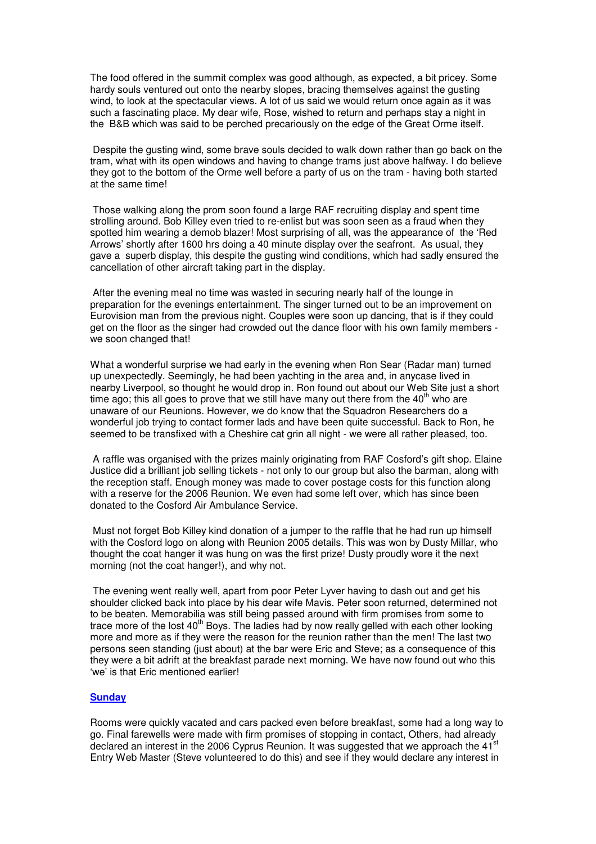The food offered in the summit complex was good although, as expected, a bit pricey. Some hardy souls ventured out onto the nearby slopes, bracing themselves against the gusting wind, to look at the spectacular views. A lot of us said we would return once again as it was such a fascinating place. My dear wife, Rose, wished to return and perhaps stay a night in the B&B which was said to be perched precariously on the edge of the Great Orme itself.

 Despite the gusting wind, some brave souls decided to walk down rather than go back on the tram, what with its open windows and having to change trams just above halfway. I do believe they got to the bottom of the Orme well before a party of us on the tram - having both started at the same time!

 Those walking along the prom soon found a large RAF recruiting display and spent time strolling around. Bob Killey even tried to re-enlist but was soon seen as a fraud when they spotted him wearing a demob blazer! Most surprising of all, was the appearance of the 'Red Arrows' shortly after 1600 hrs doing a 40 minute display over the seafront. As usual, they gave a superb display, this despite the gusting wind conditions, which had sadly ensured the cancellation of other aircraft taking part in the display.

 After the evening meal no time was wasted in securing nearly half of the lounge in preparation for the evenings entertainment. The singer turned out to be an improvement on Eurovision man from the previous night. Couples were soon up dancing, that is if they could get on the floor as the singer had crowded out the dance floor with his own family members we soon changed that!

What a wonderful surprise we had early in the evening when Ron Sear (Radar man) turned up unexpectedly. Seemingly, he had been yachting in the area and, in anycase lived in nearby Liverpool, so thought he would drop in. Ron found out about our Web Site just a short time ago; this all goes to prove that we still have many out there from the  $40<sup>th</sup>$  who are unaware of our Reunions. However, we do know that the Squadron Researchers do a wonderful job trying to contact former lads and have been quite successful. Back to Ron, he seemed to be transfixed with a Cheshire cat grin all night - we were all rather pleased, too.

 A raffle was organised with the prizes mainly originating from RAF Cosford's gift shop. Elaine Justice did a brilliant job selling tickets - not only to our group but also the barman, along with the reception staff. Enough money was made to cover postage costs for this function along with a reserve for the 2006 Reunion. We even had some left over, which has since been donated to the Cosford Air Ambulance Service.

 Must not forget Bob Killey kind donation of a jumper to the raffle that he had run up himself with the Cosford logo on along with Reunion 2005 details. This was won by Dusty Millar, who thought the coat hanger it was hung on was the first prize! Dusty proudly wore it the next morning (not the coat hanger!), and why not.

 The evening went really well, apart from poor Peter Lyver having to dash out and get his shoulder clicked back into place by his dear wife Mavis. Peter soon returned, determined not to be beaten. Memorabilia was still being passed around with firm promises from some to trace more of the lost  $40<sup>th</sup>$  Boys. The ladies had by now really gelled with each other looking more and more as if they were the reason for the reunion rather than the men! The last two persons seen standing (just about) at the bar were Eric and Steve; as a consequence of this they were a bit adrift at the breakfast parade next morning. We have now found out who this 'we' is that Eric mentioned earlier!

#### **Sunday**

Rooms were quickly vacated and cars packed even before breakfast, some had a long way to go. Final farewells were made with firm promises of stopping in contact, Others, had already declared an interest in the 2006 Cyprus Reunion. It was suggested that we approach the 41<sup>st</sup> Entry Web Master (Steve volunteered to do this) and see if they would declare any interest in